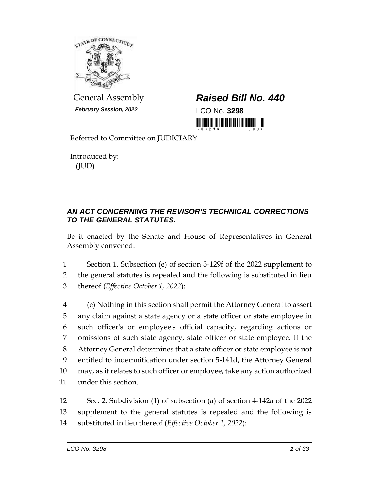

*February Session, 2022* LCO No. **3298**

## General Assembly *Raised Bill No. 440*

<u>ni bilimlərinin masarın alan bi</u>

Referred to Committee on JUDICIARY

Introduced by: (JUD)

## *AN ACT CONCERNING THE REVISOR'S TECHNICAL CORRECTIONS TO THE GENERAL STATUTES.*

Be it enacted by the Senate and House of Representatives in General Assembly convened:

1 Section 1. Subsection (e) of section 3-129f of the 2022 supplement to 2 the general statutes is repealed and the following is substituted in lieu 3 thereof (*Effective October 1, 2022*):

 (e) Nothing in this section shall permit the Attorney General to assert any claim against a state agency or a state officer or state employee in such officer's or employee's official capacity, regarding actions or omissions of such state agency, state officer or state employee. If the Attorney General determines that a state officer or state employee is not entitled to indemnification under section 5-141d, the Attorney General may, as it relates to such officer or employee, take any action authorized under this section.

12 Sec. 2. Subdivision (1) of subsection (a) of section 4-142a of the 2022 13 supplement to the general statutes is repealed and the following is 14 substituted in lieu thereof (*Effective October 1, 2022*):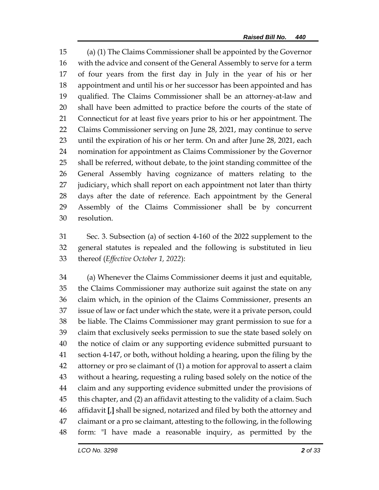(a) (1) The Claims Commissioner shall be appointed by the Governor with the advice and consent of the General Assembly to serve for a term of four years from the first day in July in the year of his or her appointment and until his or her successor has been appointed and has qualified. The Claims Commissioner shall be an attorney-at-law and shall have been admitted to practice before the courts of the state of Connecticut for at least five years prior to his or her appointment. The Claims Commissioner serving on June 28, 2021, may continue to serve until the expiration of his or her term. On and after June 28, 2021, each nomination for appointment as Claims Commissioner by the Governor shall be referred, without debate, to the joint standing committee of the General Assembly having cognizance of matters relating to the 27 judiciary, which shall report on each appointment not later than thirty days after the date of reference. Each appointment by the General Assembly of the Claims Commissioner shall be by concurrent resolution.

 Sec. 3. Subsection (a) of section 4-160 of the 2022 supplement to the general statutes is repealed and the following is substituted in lieu thereof (*Effective October 1, 2022*):

 (a) Whenever the Claims Commissioner deems it just and equitable, the Claims Commissioner may authorize suit against the state on any claim which, in the opinion of the Claims Commissioner, presents an issue of law or fact under which the state, were it a private person, could be liable. The Claims Commissioner may grant permission to sue for a claim that exclusively seeks permission to sue the state based solely on the notice of claim or any supporting evidence submitted pursuant to section 4-147, or both, without holding a hearing, upon the filing by the attorney or pro se claimant of (1) a motion for approval to assert a claim without a hearing, requesting a ruling based solely on the notice of the claim and any supporting evidence submitted under the provisions of this chapter, and (2) an affidavit attesting to the validity of a claim. Such affidavit **[**,**]** shall be signed, notarized and filed by both the attorney and claimant or a pro se claimant, attesting to the following, in the following form: "I have made a reasonable inquiry, as permitted by the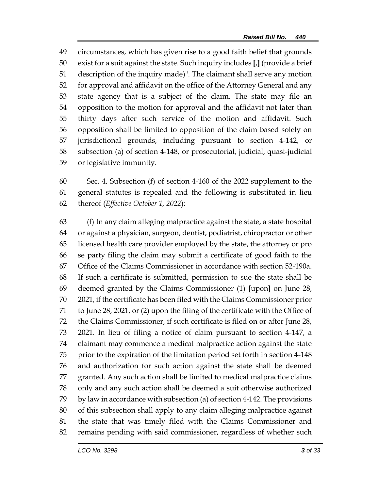circumstances, which has given rise to a good faith belief that grounds exist for a suit against the state. Such inquiry includes **[**,**]** (provide a brief description of the inquiry made)". The claimant shall serve any motion for approval and affidavit on the office of the Attorney General and any state agency that is a subject of the claim. The state may file an opposition to the motion for approval and the affidavit not later than thirty days after such service of the motion and affidavit. Such opposition shall be limited to opposition of the claim based solely on jurisdictional grounds, including pursuant to section 4-142, or subsection (a) of section 4-148, or prosecutorial, judicial, quasi-judicial or legislative immunity.

 Sec. 4. Subsection (f) of section 4-160 of the 2022 supplement to the general statutes is repealed and the following is substituted in lieu thereof (*Effective October 1, 2022*):

 (f) In any claim alleging malpractice against the state, a state hospital or against a physician, surgeon, dentist, podiatrist, chiropractor or other licensed health care provider employed by the state, the attorney or pro se party filing the claim may submit a certificate of good faith to the Office of the Claims Commissioner in accordance with section 52-190a. If such a certificate is submitted, permission to sue the state shall be deemed granted by the Claims Commissioner (1) **[**upon**]** on June 28, 2021, if the certificate has been filed with the Claims Commissioner prior to June 28, 2021, or (2) upon the filing of the certificate with the Office of the Claims Commissioner, if such certificate is filed on or after June 28, 2021. In lieu of filing a notice of claim pursuant to section 4-147, a claimant may commence a medical malpractice action against the state prior to the expiration of the limitation period set forth in section 4-148 and authorization for such action against the state shall be deemed granted. Any such action shall be limited to medical malpractice claims only and any such action shall be deemed a suit otherwise authorized by law in accordance with subsection (a) of section 4-142. The provisions of this subsection shall apply to any claim alleging malpractice against the state that was timely filed with the Claims Commissioner and remains pending with said commissioner, regardless of whether such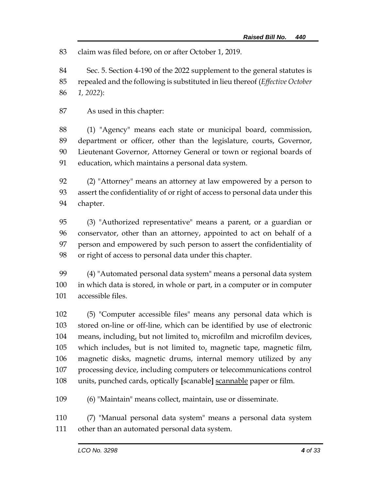claim was filed before, on or after October 1, 2019.

 Sec. 5. Section 4-190 of the 2022 supplement to the general statutes is repealed and the following is substituted in lieu thereof (*Effective October 1, 2022*):

As used in this chapter:

 (1) "Agency" means each state or municipal board, commission, department or officer, other than the legislature, courts, Governor, Lieutenant Governor, Attorney General or town or regional boards of education, which maintains a personal data system.

 (2) "Attorney" means an attorney at law empowered by a person to assert the confidentiality of or right of access to personal data under this chapter.

 (3) "Authorized representative" means a parent, or a guardian or conservator, other than an attorney, appointed to act on behalf of a person and empowered by such person to assert the confidentiality of or right of access to personal data under this chapter.

 (4) "Automated personal data system" means a personal data system in which data is stored, in whole or part, in a computer or in computer accessible files.

 (5) "Computer accessible files" means any personal data which is stored on-line or off-line, which can be identified by use of electronic 104 means, including, but not limited to, microfilm and microfilm devices, 105 which includes, but is not limited to, magnetic tape, magnetic film, magnetic disks, magnetic drums, internal memory utilized by any processing device, including computers or telecommunications control units, punched cards, optically **[**scanable**]** scannable paper or film.

(6) "Maintain" means collect, maintain, use or disseminate.

 (7) "Manual personal data system" means a personal data system other than an automated personal data system.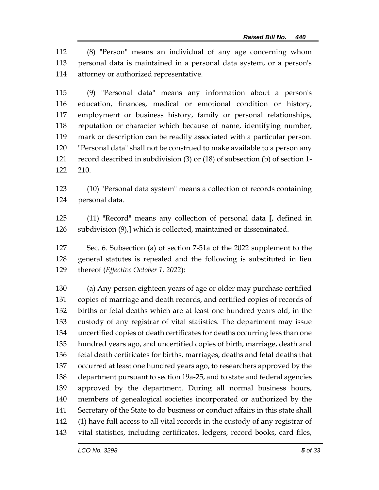(8) "Person" means an individual of any age concerning whom personal data is maintained in a personal data system, or a person's attorney or authorized representative.

 (9) "Personal data" means any information about a person's education, finances, medical or emotional condition or history, employment or business history, family or personal relationships, reputation or character which because of name, identifying number, mark or description can be readily associated with a particular person. "Personal data" shall not be construed to make available to a person any record described in subdivision (3) or (18) of subsection (b) of section 1- 210.

 (10) "Personal data system" means a collection of records containing personal data.

 (11) "Record" means any collection of personal data **[**, defined in subdivision (9),**]** which is collected, maintained or disseminated.

 Sec. 6. Subsection (a) of section 7-51a of the 2022 supplement to the general statutes is repealed and the following is substituted in lieu thereof (*Effective October 1, 2022*):

 (a) Any person eighteen years of age or older may purchase certified copies of marriage and death records, and certified copies of records of births or fetal deaths which are at least one hundred years old, in the custody of any registrar of vital statistics. The department may issue uncertified copies of death certificates for deaths occurring less than one hundred years ago, and uncertified copies of birth, marriage, death and fetal death certificates for births, marriages, deaths and fetal deaths that occurred at least one hundred years ago, to researchers approved by the department pursuant to section 19a-25, and to state and federal agencies approved by the department. During all normal business hours, members of genealogical societies incorporated or authorized by the Secretary of the State to do business or conduct affairs in this state shall (1) have full access to all vital records in the custody of any registrar of vital statistics, including certificates, ledgers, record books, card files,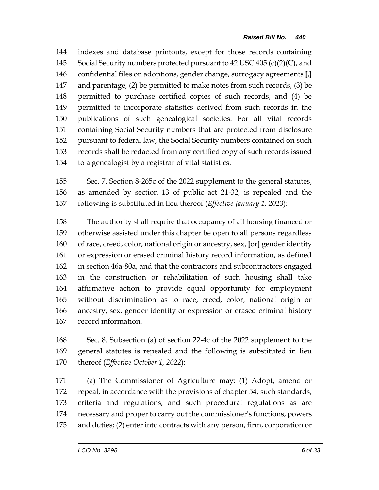indexes and database printouts, except for those records containing Social Security numbers protected pursuant to 42 USC 405 (c)(2)(C), and confidential files on adoptions, gender change, surrogacy agreements **[**,**]** and parentage, (2) be permitted to make notes from such records, (3) be permitted to purchase certified copies of such records, and (4) be permitted to incorporate statistics derived from such records in the publications of such genealogical societies. For all vital records containing Social Security numbers that are protected from disclosure pursuant to federal law, the Social Security numbers contained on such records shall be redacted from any certified copy of such records issued to a genealogist by a registrar of vital statistics.

 Sec. 7. Section 8-265c of the 2022 supplement to the general statutes, as amended by section 13 of public act 21-32, is repealed and the following is substituted in lieu thereof (*Effective January 1, 2023*):

 The authority shall require that occupancy of all housing financed or otherwise assisted under this chapter be open to all persons regardless of race, creed, color, national origin or ancestry, sex, **[**or**]** gender identity or expression or erased criminal history record information, as defined in section 46a-80a, and that the contractors and subcontractors engaged in the construction or rehabilitation of such housing shall take affirmative action to provide equal opportunity for employment without discrimination as to race, creed, color, national origin or ancestry, sex, gender identity or expression or erased criminal history record information.

 Sec. 8. Subsection (a) of section 22-4c of the 2022 supplement to the general statutes is repealed and the following is substituted in lieu thereof (*Effective October 1, 2022*):

 (a) The Commissioner of Agriculture may: (1) Adopt, amend or repeal, in accordance with the provisions of chapter 54, such standards, criteria and regulations, and such procedural regulations as are necessary and proper to carry out the commissioner's functions, powers and duties; (2) enter into contracts with any person, firm, corporation or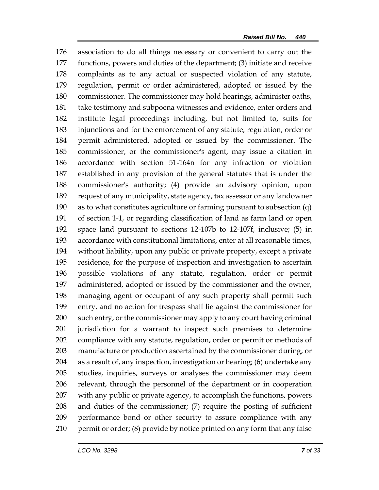association to do all things necessary or convenient to carry out the functions, powers and duties of the department; (3) initiate and receive complaints as to any actual or suspected violation of any statute, regulation, permit or order administered, adopted or issued by the commissioner. The commissioner may hold hearings, administer oaths, take testimony and subpoena witnesses and evidence, enter orders and institute legal proceedings including, but not limited to, suits for injunctions and for the enforcement of any statute, regulation, order or permit administered, adopted or issued by the commissioner. The commissioner, or the commissioner's agent, may issue a citation in accordance with section 51-164n for any infraction or violation established in any provision of the general statutes that is under the commissioner's authority; (4) provide an advisory opinion, upon request of any municipality, state agency, tax assessor or any landowner as to what constitutes agriculture or farming pursuant to subsection (q) of section 1-1, or regarding classification of land as farm land or open space land pursuant to sections 12-107b to 12-107f, inclusive; (5) in accordance with constitutional limitations, enter at all reasonable times, without liability, upon any public or private property, except a private residence, for the purpose of inspection and investigation to ascertain possible violations of any statute, regulation, order or permit administered, adopted or issued by the commissioner and the owner, managing agent or occupant of any such property shall permit such entry, and no action for trespass shall lie against the commissioner for such entry, or the commissioner may apply to any court having criminal jurisdiction for a warrant to inspect such premises to determine compliance with any statute, regulation, order or permit or methods of manufacture or production ascertained by the commissioner during, or as a result of, any inspection, investigation or hearing; (6) undertake any studies, inquiries, surveys or analyses the commissioner may deem relevant, through the personnel of the department or in cooperation with any public or private agency, to accomplish the functions, powers and duties of the commissioner; (7) require the posting of sufficient performance bond or other security to assure compliance with any permit or order; (8) provide by notice printed on any form that any false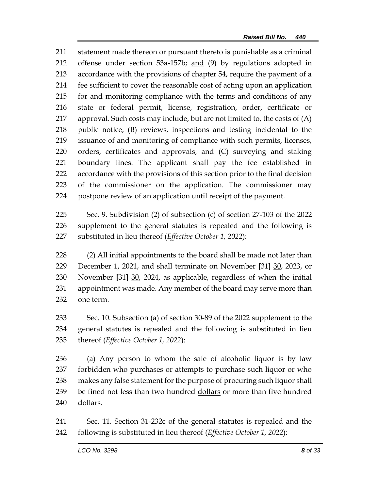statement made thereon or pursuant thereto is punishable as a criminal offense under section 53a-157b; and (9) by regulations adopted in accordance with the provisions of chapter 54, require the payment of a fee sufficient to cover the reasonable cost of acting upon an application for and monitoring compliance with the terms and conditions of any state or federal permit, license, registration, order, certificate or approval. Such costs may include, but are not limited to, the costs of (A) public notice, (B) reviews, inspections and testing incidental to the issuance of and monitoring of compliance with such permits, licenses, orders, certificates and approvals, and (C) surveying and staking boundary lines. The applicant shall pay the fee established in accordance with the provisions of this section prior to the final decision of the commissioner on the application. The commissioner may postpone review of an application until receipt of the payment.

 Sec. 9. Subdivision (2) of subsection (c) of section 27-103 of the 2022 supplement to the general statutes is repealed and the following is substituted in lieu thereof (*Effective October 1, 2022*):

 (2) All initial appointments to the board shall be made not later than December 1, 2021, and shall terminate on November **[**31**]** 30, 2023, or November **[**31**]** 30, 2024, as applicable, regardless of when the initial appointment was made. Any member of the board may serve more than one term.

 Sec. 10. Subsection (a) of section 30-89 of the 2022 supplement to the general statutes is repealed and the following is substituted in lieu thereof (*Effective October 1, 2022*):

 (a) Any person to whom the sale of alcoholic liquor is by law forbidden who purchases or attempts to purchase such liquor or who makes any false statement for the purpose of procuring such liquor shall 239 be fined not less than two hundred dollars or more than five hundred dollars.

 Sec. 11. Section 31-232c of the general statutes is repealed and the following is substituted in lieu thereof (*Effective October 1, 2022*):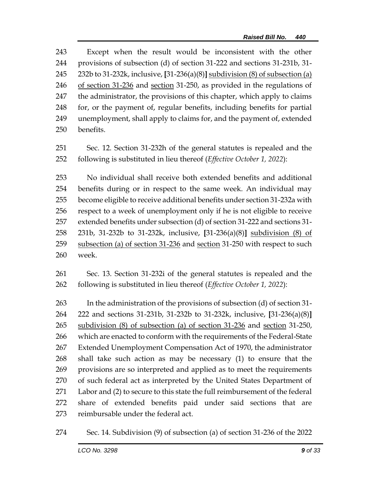Except when the result would be inconsistent with the other provisions of subsection (d) of section 31-222 and sections 31-231b, 31- 232b to 31-232k, inclusive, **[**31-236(a)(8)**]** subdivision (8) of subsection (a) of section 31-236 and section 31-250, as provided in the regulations of the administrator, the provisions of this chapter, which apply to claims for, or the payment of, regular benefits, including benefits for partial unemployment, shall apply to claims for, and the payment of, extended benefits.

 Sec. 12. Section 31-232h of the general statutes is repealed and the following is substituted in lieu thereof (*Effective October 1, 2022*):

 No individual shall receive both extended benefits and additional benefits during or in respect to the same week. An individual may become eligible to receive additional benefits under section 31-232a with respect to a week of unemployment only if he is not eligible to receive extended benefits under subsection (d) of section 31-222 and sections 31- 231b, 31-232b to 31-232k, inclusive, **[**31-236(a)(8)**]** subdivision (8) of 259 subsection (a) of section 31-236 and section 31-250 with respect to such week.

 Sec. 13. Section 31-232i of the general statutes is repealed and the following is substituted in lieu thereof (*Effective October 1, 2022*):

 In the administration of the provisions of subsection (d) of section 31- 222 and sections 31-231b, 31-232b to 31-232k, inclusive, **[**31-236(a)(8)**]** 265 subdivision (8) of subsection (a) of section 31-236 and section 31-250, which are enacted to conform with the requirements of the Federal-State Extended Unemployment Compensation Act of 1970, the administrator shall take such action as may be necessary (1) to ensure that the provisions are so interpreted and applied as to meet the requirements of such federal act as interpreted by the United States Department of Labor and (2) to secure to this state the full reimbursement of the federal share of extended benefits paid under said sections that are reimbursable under the federal act.

Sec. 14. Subdivision (9) of subsection (a) of section 31-236 of the 2022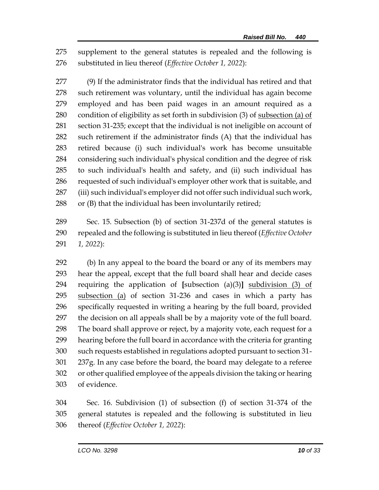supplement to the general statutes is repealed and the following is substituted in lieu thereof (*Effective October 1, 2022*):

 (9) If the administrator finds that the individual has retired and that such retirement was voluntary, until the individual has again become employed and has been paid wages in an amount required as a condition of eligibility as set forth in subdivision (3) of subsection (a) of section 31-235; except that the individual is not ineligible on account of such retirement if the administrator finds (A) that the individual has retired because (i) such individual's work has become unsuitable considering such individual's physical condition and the degree of risk to such individual's health and safety, and (ii) such individual has requested of such individual's employer other work that is suitable, and (iii) such individual's employer did not offer such individual such work, or (B) that the individual has been involuntarily retired;

 Sec. 15. Subsection (b) of section 31-237d of the general statutes is repealed and the following is substituted in lieu thereof (*Effective October 1, 2022*):

 (b) In any appeal to the board the board or any of its members may hear the appeal, except that the full board shall hear and decide cases requiring the application of **[**subsection (a)(3)**]** subdivision (3) of subsection (a) of section 31-236 and cases in which a party has specifically requested in writing a hearing by the full board, provided the decision on all appeals shall be by a majority vote of the full board. The board shall approve or reject, by a majority vote, each request for a hearing before the full board in accordance with the criteria for granting such requests established in regulations adopted pursuant to section 31- 237g. In any case before the board, the board may delegate to a referee or other qualified employee of the appeals division the taking or hearing of evidence.

 Sec. 16. Subdivision (1) of subsection (f) of section 31-374 of the general statutes is repealed and the following is substituted in lieu thereof (*Effective October 1, 2022*):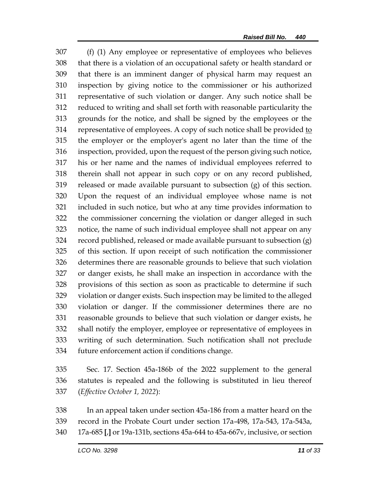(f) (1) Any employee or representative of employees who believes that there is a violation of an occupational safety or health standard or that there is an imminent danger of physical harm may request an inspection by giving notice to the commissioner or his authorized representative of such violation or danger. Any such notice shall be reduced to writing and shall set forth with reasonable particularity the grounds for the notice, and shall be signed by the employees or the 314 representative of employees. A copy of such notice shall be provided to the employer or the employer's agent no later than the time of the inspection, provided, upon the request of the person giving such notice, his or her name and the names of individual employees referred to therein shall not appear in such copy or on any record published, released or made available pursuant to subsection (g) of this section. Upon the request of an individual employee whose name is not included in such notice, but who at any time provides information to the commissioner concerning the violation or danger alleged in such notice, the name of such individual employee shall not appear on any record published, released or made available pursuant to subsection (g) of this section. If upon receipt of such notification the commissioner determines there are reasonable grounds to believe that such violation or danger exists, he shall make an inspection in accordance with the provisions of this section as soon as practicable to determine if such violation or danger exists. Such inspection may be limited to the alleged violation or danger. If the commissioner determines there are no reasonable grounds to believe that such violation or danger exists, he shall notify the employer, employee or representative of employees in writing of such determination. Such notification shall not preclude future enforcement action if conditions change.

 Sec. 17. Section 45a-186b of the 2022 supplement to the general statutes is repealed and the following is substituted in lieu thereof (*Effective October 1, 2022*):

 In an appeal taken under section 45a-186 from a matter heard on the record in the Probate Court under section 17a-498, 17a-543, 17a-543a, 17a-685 **[**,**]** or 19a-131b, sections 45a-644 to 45a-667v, inclusive, or section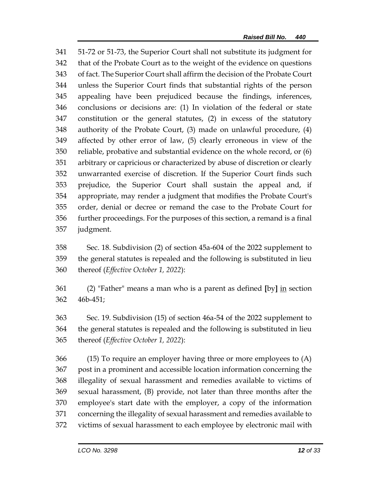51-72 or 51-73, the Superior Court shall not substitute its judgment for that of the Probate Court as to the weight of the evidence on questions of fact. The Superior Court shall affirm the decision of the Probate Court unless the Superior Court finds that substantial rights of the person appealing have been prejudiced because the findings, inferences, conclusions or decisions are: (1) In violation of the federal or state constitution or the general statutes, (2) in excess of the statutory authority of the Probate Court, (3) made on unlawful procedure, (4) affected by other error of law, (5) clearly erroneous in view of the reliable, probative and substantial evidence on the whole record, or (6) arbitrary or capricious or characterized by abuse of discretion or clearly unwarranted exercise of discretion. If the Superior Court finds such prejudice, the Superior Court shall sustain the appeal and, if appropriate, may render a judgment that modifies the Probate Court's order, denial or decree or remand the case to the Probate Court for further proceedings. For the purposes of this section, a remand is a final judgment.

 Sec. 18. Subdivision (2) of section 45a-604 of the 2022 supplement to the general statutes is repealed and the following is substituted in lieu thereof (*Effective October 1, 2022*):

 (2) "Father" means a man who is a parent as defined **[**by**]** in section 46b-451;

 Sec. 19. Subdivision (15) of section 46a-54 of the 2022 supplement to the general statutes is repealed and the following is substituted in lieu thereof (*Effective October 1, 2022*):

 (15) To require an employer having three or more employees to (A) post in a prominent and accessible location information concerning the illegality of sexual harassment and remedies available to victims of sexual harassment, (B) provide, not later than three months after the employee's start date with the employer, a copy of the information concerning the illegality of sexual harassment and remedies available to victims of sexual harassment to each employee by electronic mail with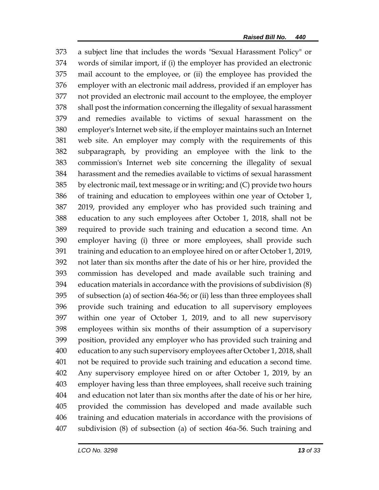a subject line that includes the words "Sexual Harassment Policy" or words of similar import, if (i) the employer has provided an electronic mail account to the employee, or (ii) the employee has provided the employer with an electronic mail address, provided if an employer has not provided an electronic mail account to the employee, the employer shall post the information concerning the illegality of sexual harassment and remedies available to victims of sexual harassment on the employer's Internet web site, if the employer maintains such an Internet web site. An employer may comply with the requirements of this subparagraph, by providing an employee with the link to the commission's Internet web site concerning the illegality of sexual harassment and the remedies available to victims of sexual harassment by electronic mail, text message or in writing; and (C) provide two hours of training and education to employees within one year of October 1, 2019, provided any employer who has provided such training and education to any such employees after October 1, 2018, shall not be required to provide such training and education a second time. An employer having (i) three or more employees, shall provide such training and education to an employee hired on or after October 1, 2019, not later than six months after the date of his or her hire, provided the commission has developed and made available such training and education materials in accordance with the provisions of subdivision (8) of subsection (a) of section 46a-56; or (ii) less than three employees shall provide such training and education to all supervisory employees within one year of October 1, 2019, and to all new supervisory employees within six months of their assumption of a supervisory position, provided any employer who has provided such training and education to any such supervisory employees after October 1, 2018, shall not be required to provide such training and education a second time. Any supervisory employee hired on or after October 1, 2019, by an employer having less than three employees, shall receive such training and education not later than six months after the date of his or her hire, provided the commission has developed and made available such training and education materials in accordance with the provisions of subdivision (8) of subsection (a) of section 46a-56. Such training and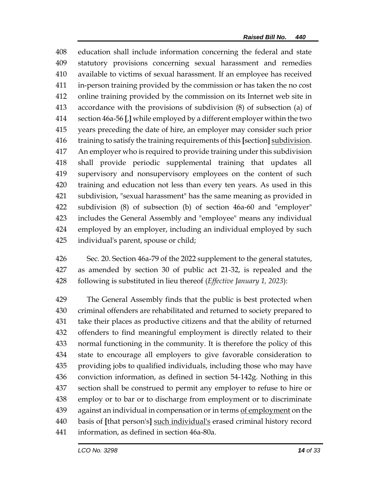education shall include information concerning the federal and state statutory provisions concerning sexual harassment and remedies available to victims of sexual harassment. If an employee has received in-person training provided by the commission or has taken the no cost online training provided by the commission on its Internet web site in accordance with the provisions of subdivision (8) of subsection (a) of section 46a-56 **[**,**]** while employed by a different employer within the two years preceding the date of hire, an employer may consider such prior training to satisfy the training requirements of this **[**section**]** subdivision. An employer who is required to provide training under this subdivision shall provide periodic supplemental training that updates all supervisory and nonsupervisory employees on the content of such training and education not less than every ten years. As used in this subdivision, "sexual harassment" has the same meaning as provided in subdivision (8) of subsection (b) of section 46a-60 and "employer" includes the General Assembly and "employee" means any individual employed by an employer, including an individual employed by such individual's parent, spouse or child;

 Sec. 20. Section 46a-79 of the 2022 supplement to the general statutes, as amended by section 30 of public act 21-32, is repealed and the following is substituted in lieu thereof (*Effective January 1, 2023*):

 The General Assembly finds that the public is best protected when criminal offenders are rehabilitated and returned to society prepared to take their places as productive citizens and that the ability of returned offenders to find meaningful employment is directly related to their normal functioning in the community. It is therefore the policy of this state to encourage all employers to give favorable consideration to providing jobs to qualified individuals, including those who may have conviction information, as defined in section 54-142g. Nothing in this section shall be construed to permit any employer to refuse to hire or employ or to bar or to discharge from employment or to discriminate 439 against an individual in compensation or in terms of employment on the basis of **[**that person's**]** such individual's erased criminal history record information, as defined in section 46a-80a.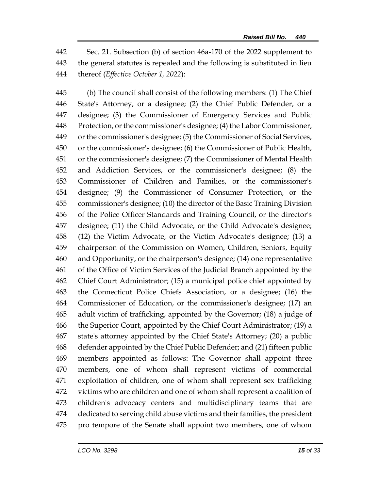Sec. 21. Subsection (b) of section 46a-170 of the 2022 supplement to the general statutes is repealed and the following is substituted in lieu thereof (*Effective October 1, 2022*):

 (b) The council shall consist of the following members: (1) The Chief State's Attorney, or a designee; (2) the Chief Public Defender, or a designee; (3) the Commissioner of Emergency Services and Public Protection, or the commissioner's designee; (4) the Labor Commissioner, or the commissioner's designee; (5) the Commissioner of Social Services, or the commissioner's designee; (6) the Commissioner of Public Health, or the commissioner's designee; (7) the Commissioner of Mental Health and Addiction Services, or the commissioner's designee; (8) the Commissioner of Children and Families, or the commissioner's designee; (9) the Commissioner of Consumer Protection, or the commissioner's designee; (10) the director of the Basic Training Division of the Police Officer Standards and Training Council, or the director's designee; (11) the Child Advocate, or the Child Advocate's designee; (12) the Victim Advocate, or the Victim Advocate's designee; (13) a chairperson of the Commission on Women, Children, Seniors, Equity and Opportunity, or the chairperson's designee; (14) one representative of the Office of Victim Services of the Judicial Branch appointed by the Chief Court Administrator; (15) a municipal police chief appointed by the Connecticut Police Chiefs Association, or a designee; (16) the Commissioner of Education, or the commissioner's designee; (17) an adult victim of trafficking, appointed by the Governor; (18) a judge of the Superior Court, appointed by the Chief Court Administrator; (19) a state's attorney appointed by the Chief State's Attorney; (20) a public defender appointed by the Chief Public Defender; and (21) fifteen public members appointed as follows: The Governor shall appoint three members, one of whom shall represent victims of commercial exploitation of children, one of whom shall represent sex trafficking victims who are children and one of whom shall represent a coalition of children's advocacy centers and multidisciplinary teams that are dedicated to serving child abuse victims and their families, the president pro tempore of the Senate shall appoint two members, one of whom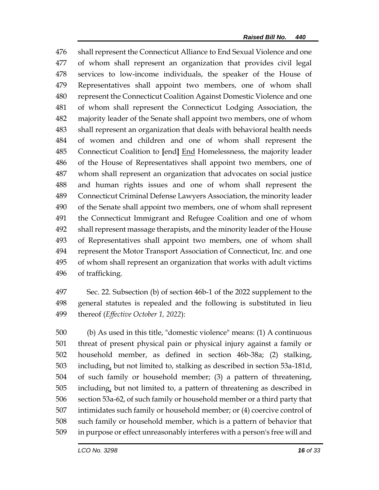shall represent the Connecticut Alliance to End Sexual Violence and one of whom shall represent an organization that provides civil legal services to low-income individuals, the speaker of the House of Representatives shall appoint two members, one of whom shall represent the Connecticut Coalition Against Domestic Violence and one of whom shall represent the Connecticut Lodging Association, the majority leader of the Senate shall appoint two members, one of whom shall represent an organization that deals with behavioral health needs of women and children and one of whom shall represent the Connecticut Coalition to **[**end**]** End Homelessness, the majority leader of the House of Representatives shall appoint two members, one of whom shall represent an organization that advocates on social justice and human rights issues and one of whom shall represent the Connecticut Criminal Defense Lawyers Association, the minority leader of the Senate shall appoint two members, one of whom shall represent the Connecticut Immigrant and Refugee Coalition and one of whom shall represent massage therapists, and the minority leader of the House of Representatives shall appoint two members, one of whom shall represent the Motor Transport Association of Connecticut, Inc. and one of whom shall represent an organization that works with adult victims of trafficking.

 Sec. 22. Subsection (b) of section 46b-1 of the 2022 supplement to the general statutes is repealed and the following is substituted in lieu thereof (*Effective October 1, 2022*):

 (b) As used in this title, "domestic violence" means: (1) A continuous threat of present physical pain or physical injury against a family or household member, as defined in section 46b-38a; (2) stalking, including, but not limited to, stalking as described in section 53a-181d, of such family or household member; (3) a pattern of threatening, including, but not limited to, a pattern of threatening as described in section 53a-62, of such family or household member or a third party that intimidates such family or household member; or (4) coercive control of such family or household member, which is a pattern of behavior that in purpose or effect unreasonably interferes with a person's free will and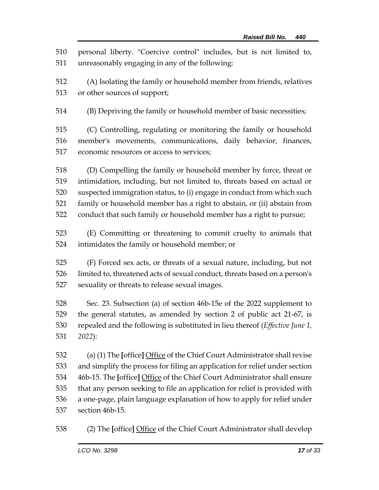personal liberty. "Coercive control" includes, but is not limited to, unreasonably engaging in any of the following:

 (A) Isolating the family or household member from friends, relatives or other sources of support;

(B) Depriving the family or household member of basic necessities;

 (C) Controlling, regulating or monitoring the family or household member's movements, communications, daily behavior, finances, economic resources or access to services;

 (D) Compelling the family or household member by force, threat or intimidation, including, but not limited to, threats based on actual or suspected immigration status, to (i) engage in conduct from which such family or household member has a right to abstain, or (ii) abstain from conduct that such family or household member has a right to pursue;

 (E) Committing or threatening to commit cruelty to animals that intimidates the family or household member; or

 (F) Forced sex acts, or threats of a sexual nature, including, but not limited to, threatened acts of sexual conduct, threats based on a person's sexuality or threats to release sexual images.

 Sec. 23. Subsection (a) of section 46b-15e of the 2022 supplement to the general statutes, as amended by section 2 of public act 21-67, is repealed and the following is substituted in lieu thereof (*Effective June 1, 2022*):

 (a) (1) The **[**office**]** Office of the Chief Court Administrator shall revise and simplify the process for filing an application for relief under section 46b-15. The **[**office**]** Office of the Chief Court Administrator shall ensure that any person seeking to file an application for relief is provided with a one-page, plain language explanation of how to apply for relief under section 46b-15.

(2) The **[**office**]** Office of the Chief Court Administrator shall develop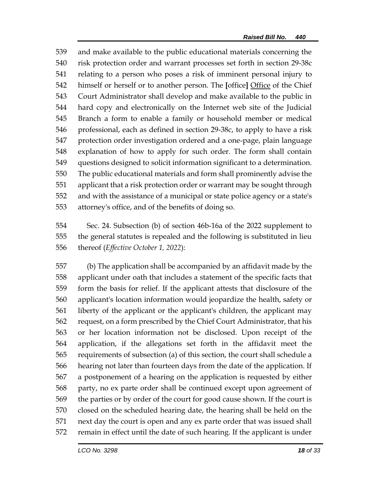and make available to the public educational materials concerning the risk protection order and warrant processes set forth in section 29-38c relating to a person who poses a risk of imminent personal injury to himself or herself or to another person. The **[**office**]** Office of the Chief Court Administrator shall develop and make available to the public in hard copy and electronically on the Internet web site of the Judicial Branch a form to enable a family or household member or medical professional, each as defined in section 29-38c, to apply to have a risk protection order investigation ordered and a one-page, plain language explanation of how to apply for such order. The form shall contain questions designed to solicit information significant to a determination. The public educational materials and form shall prominently advise the applicant that a risk protection order or warrant may be sought through and with the assistance of a municipal or state police agency or a state's attorney's office, and of the benefits of doing so.

 Sec. 24. Subsection (b) of section 46b-16a of the 2022 supplement to the general statutes is repealed and the following is substituted in lieu thereof (*Effective October 1, 2022*):

 (b) The application shall be accompanied by an affidavit made by the applicant under oath that includes a statement of the specific facts that form the basis for relief. If the applicant attests that disclosure of the applicant's location information would jeopardize the health, safety or liberty of the applicant or the applicant's children, the applicant may request, on a form prescribed by the Chief Court Administrator, that his or her location information not be disclosed. Upon receipt of the application, if the allegations set forth in the affidavit meet the requirements of subsection (a) of this section, the court shall schedule a hearing not later than fourteen days from the date of the application. If a postponement of a hearing on the application is requested by either party, no ex parte order shall be continued except upon agreement of the parties or by order of the court for good cause shown. If the court is closed on the scheduled hearing date, the hearing shall be held on the next day the court is open and any ex parte order that was issued shall remain in effect until the date of such hearing. If the applicant is under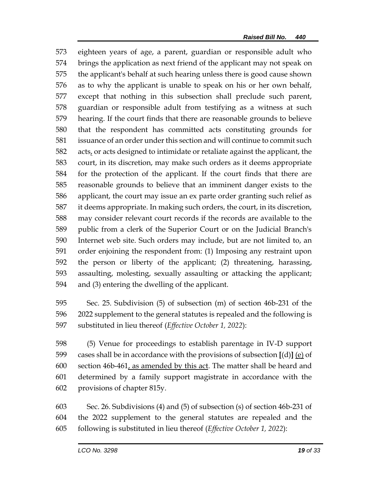eighteen years of age, a parent, guardian or responsible adult who brings the application as next friend of the applicant may not speak on the applicant's behalf at such hearing unless there is good cause shown as to why the applicant is unable to speak on his or her own behalf, except that nothing in this subsection shall preclude such parent, guardian or responsible adult from testifying as a witness at such hearing. If the court finds that there are reasonable grounds to believe that the respondent has committed acts constituting grounds for issuance of an order under this section and will continue to commit such acts, or acts designed to intimidate or retaliate against the applicant, the court, in its discretion, may make such orders as it deems appropriate for the protection of the applicant. If the court finds that there are reasonable grounds to believe that an imminent danger exists to the applicant, the court may issue an ex parte order granting such relief as it deems appropriate. In making such orders, the court, in its discretion, may consider relevant court records if the records are available to the public from a clerk of the Superior Court or on the Judicial Branch's Internet web site. Such orders may include, but are not limited to, an order enjoining the respondent from: (1) Imposing any restraint upon the person or liberty of the applicant; (2) threatening, harassing, assaulting, molesting, sexually assaulting or attacking the applicant; and (3) entering the dwelling of the applicant.

 Sec. 25. Subdivision (5) of subsection (m) of section 46b-231 of the 2022 supplement to the general statutes is repealed and the following is substituted in lieu thereof (*Effective October 1, 2022*):

 (5) Venue for proceedings to establish parentage in IV-D support cases shall be in accordance with the provisions of subsection **[**(d)**]** (e) of 600 section  $46b-461$ , as amended by this act. The matter shall be heard and determined by a family support magistrate in accordance with the provisions of chapter 815y.

 Sec. 26. Subdivisions (4) and (5) of subsection (s) of section 46b-231 of the 2022 supplement to the general statutes are repealed and the following is substituted in lieu thereof (*Effective October 1, 2022*):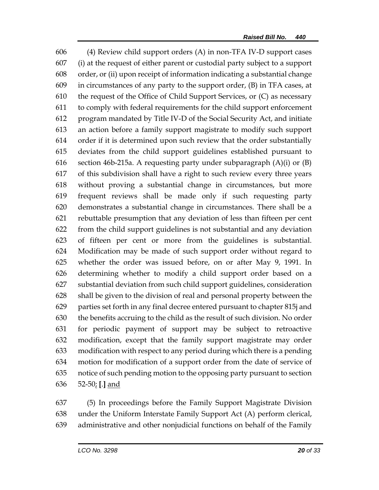(4) Review child support orders (A) in non-TFA IV-D support cases (i) at the request of either parent or custodial party subject to a support order, or (ii) upon receipt of information indicating a substantial change in circumstances of any party to the support order, (B) in TFA cases, at the request of the Office of Child Support Services, or (C) as necessary to comply with federal requirements for the child support enforcement program mandated by Title IV-D of the Social Security Act, and initiate an action before a family support magistrate to modify such support order if it is determined upon such review that the order substantially deviates from the child support guidelines established pursuant to section 46b-215a. A requesting party under subparagraph (A)(i) or (B) of this subdivision shall have a right to such review every three years without proving a substantial change in circumstances, but more frequent reviews shall be made only if such requesting party demonstrates a substantial change in circumstances. There shall be a rebuttable presumption that any deviation of less than fifteen per cent from the child support guidelines is not substantial and any deviation of fifteen per cent or more from the guidelines is substantial. Modification may be made of such support order without regard to whether the order was issued before, on or after May 9, 1991. In determining whether to modify a child support order based on a substantial deviation from such child support guidelines, consideration shall be given to the division of real and personal property between the parties set forth in any final decree entered pursuant to chapter 815j and the benefits accruing to the child as the result of such division. No order for periodic payment of support may be subject to retroactive modification, except that the family support magistrate may order modification with respect to any period during which there is a pending motion for modification of a support order from the date of service of notice of such pending motion to the opposing party pursuant to section 52-50; **[**.**]** and

 (5) In proceedings before the Family Support Magistrate Division under the Uniform Interstate Family Support Act (A) perform clerical, administrative and other nonjudicial functions on behalf of the Family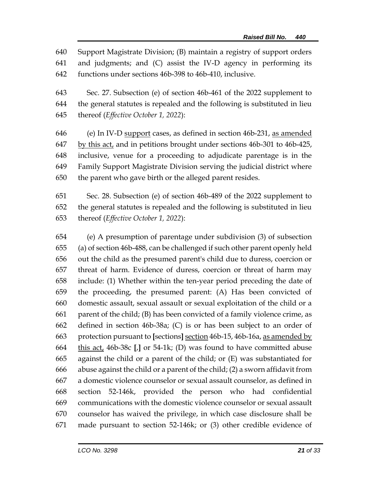Support Magistrate Division; (B) maintain a registry of support orders and judgments; and (C) assist the IV-D agency in performing its functions under sections 46b-398 to 46b-410, inclusive.

 Sec. 27. Subsection (e) of section 46b-461 of the 2022 supplement to the general statutes is repealed and the following is substituted in lieu thereof (*Effective October 1, 2022*):

 (e) In IV-D support cases, as defined in section 46b-231, as amended 647 by this act, and in petitions brought under sections 46b-301 to 46b-425, inclusive, venue for a proceeding to adjudicate parentage is in the Family Support Magistrate Division serving the judicial district where the parent who gave birth or the alleged parent resides.

 Sec. 28. Subsection (e) of section 46b-489 of the 2022 supplement to the general statutes is repealed and the following is substituted in lieu thereof (*Effective October 1, 2022*):

 (e) A presumption of parentage under subdivision (3) of subsection (a) of section 46b-488, can be challenged if such other parent openly held out the child as the presumed parent's child due to duress, coercion or threat of harm. Evidence of duress, coercion or threat of harm may include: (1) Whether within the ten-year period preceding the date of the proceeding, the presumed parent: (A) Has been convicted of domestic assault, sexual assault or sexual exploitation of the child or a parent of the child; (B) has been convicted of a family violence crime, as defined in section 46b-38a; (C) is or has been subject to an order of protection pursuant to **[**sections**]** section 46b-15, 46b-16a, as amended by this act, 46b-38c **[**,**]** or 54-1k; (D) was found to have committed abuse against the child or a parent of the child; or (E) was substantiated for abuse against the child or a parent of the child; (2) a sworn affidavit from a domestic violence counselor or sexual assault counselor, as defined in section 52-146k, provided the person who had confidential communications with the domestic violence counselor or sexual assault counselor has waived the privilege, in which case disclosure shall be made pursuant to section 52-146k; or (3) other credible evidence of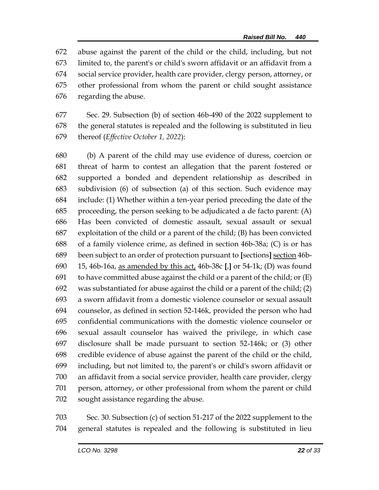abuse against the parent of the child or the child, including, but not limited to, the parent's or child's sworn affidavit or an affidavit from a social service provider, health care provider, clergy person, attorney, or other professional from whom the parent or child sought assistance regarding the abuse.

 Sec. 29. Subsection (b) of section 46b-490 of the 2022 supplement to the general statutes is repealed and the following is substituted in lieu thereof (*Effective October 1, 2022*):

 (b) A parent of the child may use evidence of duress, coercion or threat of harm to contest an allegation that the parent fostered or supported a bonded and dependent relationship as described in subdivision (6) of subsection (a) of this section. Such evidence may include: (1) Whether within a ten-year period preceding the date of the proceeding, the person seeking to be adjudicated a de facto parent: (A) Has been convicted of domestic assault, sexual assault or sexual exploitation of the child or a parent of the child; (B) has been convicted of a family violence crime, as defined in section 46b-38a; (C) is or has been subject to an order of protection pursuant to **[**sections**]** section 46b- 15, 46b-16a, as amended by this act, 46b-38c **[**,**]** or 54-1k; (D) was found 691 to have committed abuse against the child or a parent of the child; or  $(E)$  was substantiated for abuse against the child or a parent of the child; (2) a sworn affidavit from a domestic violence counselor or sexual assault counselor, as defined in section 52-146k, provided the person who had confidential communications with the domestic violence counselor or sexual assault counselor has waived the privilege, in which case disclosure shall be made pursuant to section 52-146k; or (3) other credible evidence of abuse against the parent of the child or the child, including, but not limited to, the parent's or child's sworn affidavit or an affidavit from a social service provider, health care provider, clergy person, attorney, or other professional from whom the parent or child sought assistance regarding the abuse.

 Sec. 30. Subsection (c) of section 51-217 of the 2022 supplement to the general statutes is repealed and the following is substituted in lieu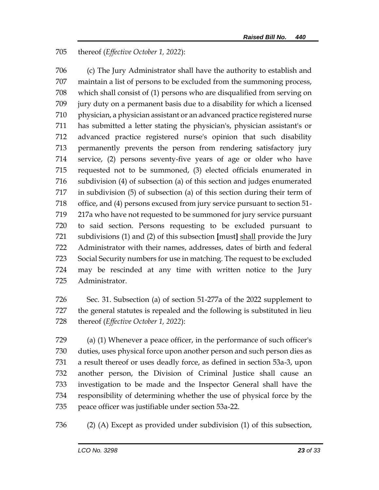## thereof (*Effective October 1, 2022*):

 (c) The Jury Administrator shall have the authority to establish and maintain a list of persons to be excluded from the summoning process, which shall consist of (1) persons who are disqualified from serving on jury duty on a permanent basis due to a disability for which a licensed physician, a physician assistant or an advanced practice registered nurse has submitted a letter stating the physician's, physician assistant's or advanced practice registered nurse's opinion that such disability permanently prevents the person from rendering satisfactory jury service, (2) persons seventy-five years of age or older who have requested not to be summoned, (3) elected officials enumerated in subdivision (4) of subsection (a) of this section and judges enumerated in subdivision (5) of subsection (a) of this section during their term of office, and (4) persons excused from jury service pursuant to section 51- 217a who have not requested to be summoned for jury service pursuant to said section. Persons requesting to be excluded pursuant to subdivisions (1) and (2) of this subsection **[**must**]** shall provide the Jury Administrator with their names, addresses, dates of birth and federal Social Security numbers for use in matching. The request to be excluded may be rescinded at any time with written notice to the Jury Administrator.

 Sec. 31. Subsection (a) of section 51-277a of the 2022 supplement to the general statutes is repealed and the following is substituted in lieu thereof (*Effective October 1, 2022*):

 (a) (1) Whenever a peace officer, in the performance of such officer's duties, uses physical force upon another person and such person dies as a result thereof or uses deadly force, as defined in section 53a-3, upon another person, the Division of Criminal Justice shall cause an investigation to be made and the Inspector General shall have the responsibility of determining whether the use of physical force by the peace officer was justifiable under section 53a-22.

(2) (A) Except as provided under subdivision (1) of this subsection,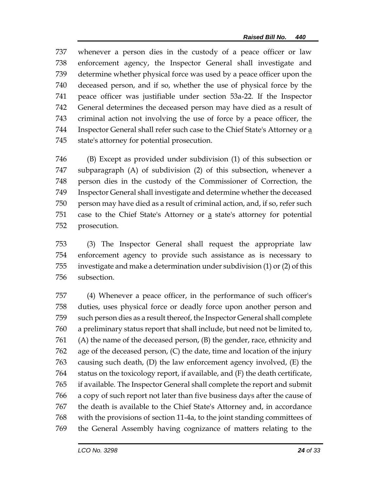whenever a person dies in the custody of a peace officer or law enforcement agency, the Inspector General shall investigate and determine whether physical force was used by a peace officer upon the deceased person, and if so, whether the use of physical force by the peace officer was justifiable under section 53a-22. If the Inspector General determines the deceased person may have died as a result of criminal action not involving the use of force by a peace officer, the 744 Inspector General shall refer such case to the Chief State's Attorney or a state's attorney for potential prosecution.

 (B) Except as provided under subdivision (1) of this subsection or subparagraph (A) of subdivision (2) of this subsection, whenever a person dies in the custody of the Commissioner of Correction, the Inspector General shall investigate and determine whether the deceased person may have died as a result of criminal action, and, if so, refer such 751 case to the Chief State's Attorney or a state's attorney for potential prosecution.

 (3) The Inspector General shall request the appropriate law enforcement agency to provide such assistance as is necessary to investigate and make a determination under subdivision (1) or (2) of this subsection.

 (4) Whenever a peace officer, in the performance of such officer's duties, uses physical force or deadly force upon another person and such person dies as a result thereof, the Inspector General shall complete a preliminary status report that shall include, but need not be limited to, (A) the name of the deceased person, (B) the gender, race, ethnicity and age of the deceased person, (C) the date, time and location of the injury causing such death, (D) the law enforcement agency involved, (E) the status on the toxicology report, if available, and (F) the death certificate, if available. The Inspector General shall complete the report and submit a copy of such report not later than five business days after the cause of the death is available to the Chief State's Attorney and, in accordance with the provisions of section 11-4a, to the joint standing committees of the General Assembly having cognizance of matters relating to the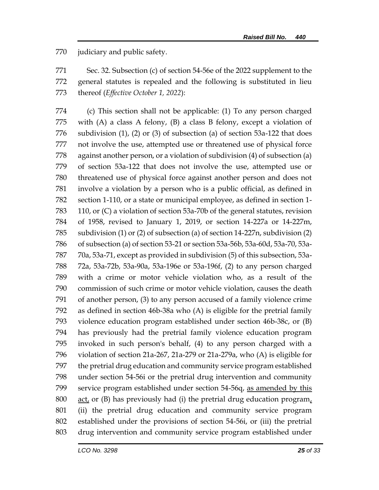judiciary and public safety.

 Sec. 32. Subsection (c) of section 54-56e of the 2022 supplement to the general statutes is repealed and the following is substituted in lieu thereof (*Effective October 1, 2022*):

 (c) This section shall not be applicable: (1) To any person charged with (A) a class A felony, (B) a class B felony, except a violation of subdivision (1), (2) or (3) of subsection (a) of section 53a-122 that does not involve the use, attempted use or threatened use of physical force against another person, or a violation of subdivision (4) of subsection (a) of section 53a-122 that does not involve the use, attempted use or threatened use of physical force against another person and does not involve a violation by a person who is a public official, as defined in section 1-110, or a state or municipal employee, as defined in section 1- 110, or (C) a violation of section 53a-70b of the general statutes, revision of 1958, revised to January 1, 2019, or section 14-227a or 14-227m, subdivision (1) or (2) of subsection (a) of section 14-227n, subdivision (2) of subsection (a) of section 53-21 or section 53a-56b, 53a-60d, 53a-70, 53a- 70a, 53a-71, except as provided in subdivision (5) of this subsection, 53a- 72a, 53a-72b, 53a-90a, 53a-196e or 53a-196f, (2) to any person charged with a crime or motor vehicle violation who, as a result of the commission of such crime or motor vehicle violation, causes the death of another person, (3) to any person accused of a family violence crime as defined in section 46b-38a who (A) is eligible for the pretrial family violence education program established under section 46b-38c, or (B) has previously had the pretrial family violence education program invoked in such person's behalf, (4) to any person charged with a violation of section 21a-267, 21a-279 or 21a-279a, who (A) is eligible for the pretrial drug education and community service program established under section 54-56i or the pretrial drug intervention and community service program established under section 54-56q, as amended by this act, or (B) has previously had (i) the pretrial drug education program, (ii) the pretrial drug education and community service program established under the provisions of section 54-56i, or (iii) the pretrial drug intervention and community service program established under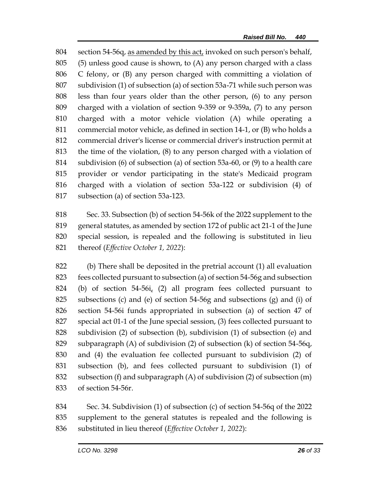section 54-56q, as amended by this act, invoked on such person's behalf, (5) unless good cause is shown, to (A) any person charged with a class C felony, or (B) any person charged with committing a violation of subdivision (1) of subsection (a) of section 53a-71 while such person was less than four years older than the other person, (6) to any person charged with a violation of section 9-359 or 9-359a, (7) to any person charged with a motor vehicle violation (A) while operating a commercial motor vehicle, as defined in section 14-1, or (B) who holds a commercial driver's license or commercial driver's instruction permit at the time of the violation, (8) to any person charged with a violation of subdivision (6) of subsection (a) of section 53a-60, or (9) to a health care provider or vendor participating in the state's Medicaid program charged with a violation of section 53a-122 or subdivision (4) of subsection (a) of section 53a-123.

 Sec. 33. Subsection (b) of section 54-56k of the 2022 supplement to the general statutes, as amended by section 172 of public act 21-1 of the June special session, is repealed and the following is substituted in lieu thereof (*Effective October 1, 2022*):

 (b) There shall be deposited in the pretrial account (1) all evaluation fees collected pursuant to subsection (a) of section 54-56g and subsection (b) of section 54-56i, (2) all program fees collected pursuant to subsections (c) and (e) of section 54-56g and subsections (g) and (i) of section 54-56i funds appropriated in subsection (a) of section 47 of special act 01-1 of the June special session, (3) fees collected pursuant to subdivision (2) of subsection (b), subdivision (1) of subsection (e) and subparagraph (A) of subdivision (2) of subsection (k) of section 54-56q, and (4) the evaluation fee collected pursuant to subdivision (2) of subsection (b), and fees collected pursuant to subdivision (1) of subsection (f) and subparagraph (A) of subdivision (2) of subsection (m) of section 54-56r.

 Sec. 34. Subdivision (1) of subsection (c) of section 54-56q of the 2022 supplement to the general statutes is repealed and the following is substituted in lieu thereof (*Effective October 1, 2022*):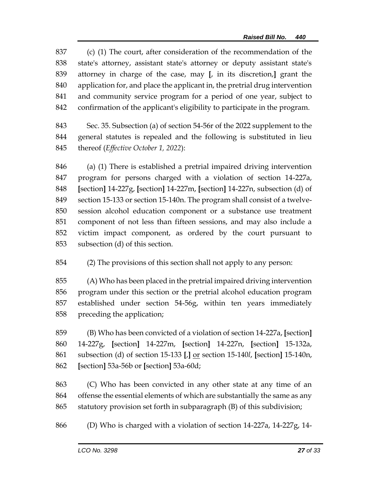(c) (1) The court, after consideration of the recommendation of the state's attorney, assistant state's attorney or deputy assistant state's attorney in charge of the case, may **[**, in its discretion,**]** grant the application for, and place the applicant in, the pretrial drug intervention and community service program for a period of one year, subject to confirmation of the applicant's eligibility to participate in the program.

 Sec. 35. Subsection (a) of section 54-56r of the 2022 supplement to the general statutes is repealed and the following is substituted in lieu thereof (*Effective October 1, 2022*):

 (a) (1) There is established a pretrial impaired driving intervention program for persons charged with a violation of section 14-227a, **[**section**]** 14-227g, **[**section**]** 14-227m, **[**section**]** 14-227n, subsection (d) of section 15-133 or section 15-140n. The program shall consist of a twelve- session alcohol education component or a substance use treatment component of not less than fifteen sessions, and may also include a victim impact component, as ordered by the court pursuant to subsection (d) of this section.

(2) The provisions of this section shall not apply to any person:

 (A) Who has been placed in the pretrial impaired driving intervention program under this section or the pretrial alcohol education program established under section 54-56g, within ten years immediately preceding the application;

 (B) Who has been convicted of a violation of section 14-227a, **[**section**]** 14-227g, **[**section**]** 14-227m, **[**section**]** 14-227n, **[**section**]** 15-132a, subsection (d) of section 15-133 **[**,**]** or section 15-140*l*, **[**section**]** 15-140n, **[**section**]** 53a-56b or **[**section**]** 53a-60d;

 (C) Who has been convicted in any other state at any time of an offense the essential elements of which are substantially the same as any statutory provision set forth in subparagraph (B) of this subdivision;

(D) Who is charged with a violation of section 14-227a, 14-227g, 14-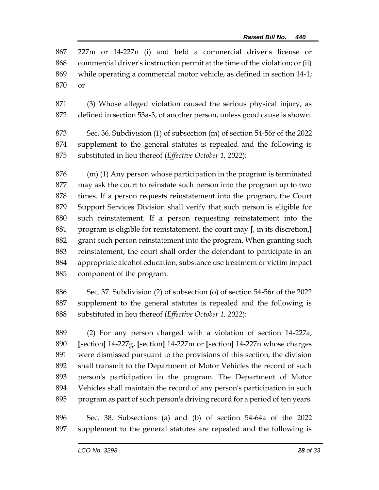|        | 867 227m or 14-227n (i) and held a commercial driver's license or                |  |  |  |
|--------|----------------------------------------------------------------------------------|--|--|--|
|        | 868 commercial driver's instruction permit at the time of the violation; or (ii) |  |  |  |
|        | 869 while operating a commercial motor vehicle, as defined in section 14-1;      |  |  |  |
| 870 or |                                                                                  |  |  |  |

 (3) Whose alleged violation caused the serious physical injury, as defined in section 53a-3, of another person, unless good cause is shown.

 Sec. 36. Subdivision (1) of subsection (m) of section 54-56r of the 2022 supplement to the general statutes is repealed and the following is substituted in lieu thereof (*Effective October 1, 2022*):

 (m) (1) Any person whose participation in the program is terminated may ask the court to reinstate such person into the program up to two times. If a person requests reinstatement into the program, the Court Support Services Division shall verify that such person is eligible for such reinstatement. If a person requesting reinstatement into the program is eligible for reinstatement, the court may **[**, in its discretion,**]** grant such person reinstatement into the program. When granting such reinstatement, the court shall order the defendant to participate in an appropriate alcohol education, substance use treatment or victim impact component of the program.

 Sec. 37. Subdivision (2) of subsection (o) of section 54-56r of the 2022 supplement to the general statutes is repealed and the following is substituted in lieu thereof (*Effective October 1, 2022*):

 (2) For any person charged with a violation of section 14-227a, **[**section**]** 14-227g, **[**section**]** 14-227m or **[**section**]** 14-227n whose charges were dismissed pursuant to the provisions of this section, the division shall transmit to the Department of Motor Vehicles the record of such person's participation in the program. The Department of Motor Vehicles shall maintain the record of any person's participation in such program as part of such person's driving record for a period of ten years.

 Sec. 38. Subsections (a) and (b) of section 54-64a of the 2022 supplement to the general statutes are repealed and the following is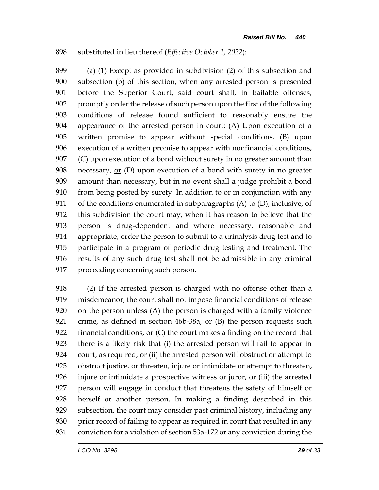substituted in lieu thereof (*Effective October 1, 2022*):

 (a) (1) Except as provided in subdivision (2) of this subsection and subsection (b) of this section, when any arrested person is presented before the Superior Court, said court shall, in bailable offenses, promptly order the release of such person upon the first of the following conditions of release found sufficient to reasonably ensure the appearance of the arrested person in court: (A) Upon execution of a written promise to appear without special conditions, (B) upon execution of a written promise to appear with nonfinancial conditions, (C) upon execution of a bond without surety in no greater amount than necessary, or (D) upon execution of a bond with surety in no greater amount than necessary, but in no event shall a judge prohibit a bond from being posted by surety. In addition to or in conjunction with any of the conditions enumerated in subparagraphs (A) to (D), inclusive, of this subdivision the court may, when it has reason to believe that the person is drug-dependent and where necessary, reasonable and appropriate, order the person to submit to a urinalysis drug test and to participate in a program of periodic drug testing and treatment. The results of any such drug test shall not be admissible in any criminal proceeding concerning such person.

 (2) If the arrested person is charged with no offense other than a misdemeanor, the court shall not impose financial conditions of release on the person unless (A) the person is charged with a family violence crime, as defined in section 46b-38a, or (B) the person requests such financial conditions, or (C) the court makes a finding on the record that there is a likely risk that (i) the arrested person will fail to appear in court, as required, or (ii) the arrested person will obstruct or attempt to obstruct justice, or threaten, injure or intimidate or attempt to threaten, injure or intimidate a prospective witness or juror, or (iii) the arrested person will engage in conduct that threatens the safety of himself or herself or another person. In making a finding described in this subsection, the court may consider past criminal history, including any 930 prior record of failing to appear as required in court that resulted in any conviction for a violation of section 53a-172 or any conviction during the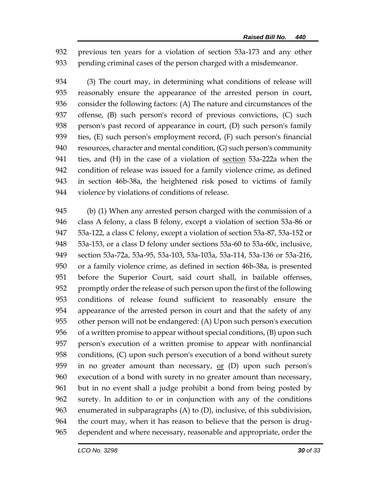previous ten years for a violation of section 53a-173 and any other pending criminal cases of the person charged with a misdemeanor.

 (3) The court may, in determining what conditions of release will reasonably ensure the appearance of the arrested person in court, consider the following factors: (A) The nature and circumstances of the offense, (B) such person's record of previous convictions, (C) such person's past record of appearance in court, (D) such person's family ties, (E) such person's employment record, (F) such person's financial resources, character and mental condition, (G) such person's community 941 ties, and (H) in the case of a violation of <u>section</u> 53a-222a when the condition of release was issued for a family violence crime, as defined in section 46b-38a, the heightened risk posed to victims of family violence by violations of conditions of release.

 (b) (1) When any arrested person charged with the commission of a class A felony, a class B felony, except a violation of section 53a-86 or 53a-122, a class C felony, except a violation of section 53a-87, 53a-152 or 53a-153, or a class D felony under sections 53a-60 to 53a-60c, inclusive, section 53a-72a, 53a-95, 53a-103, 53a-103a, 53a-114, 53a-136 or 53a-216, or a family violence crime, as defined in section 46b-38a, is presented before the Superior Court, said court shall, in bailable offenses, promptly order the release of such person upon the first of the following conditions of release found sufficient to reasonably ensure the appearance of the arrested person in court and that the safety of any other person will not be endangered: (A) Upon such person's execution of a written promise to appear without special conditions, (B) upon such person's execution of a written promise to appear with nonfinancial conditions, (C) upon such person's execution of a bond without surety 959 in no greater amount than necessary,  $or$  (D) upon such person's execution of a bond with surety in no greater amount than necessary, but in no event shall a judge prohibit a bond from being posted by surety. In addition to or in conjunction with any of the conditions enumerated in subparagraphs (A) to (D), inclusive, of this subdivision, the court may, when it has reason to believe that the person is drug-dependent and where necessary, reasonable and appropriate, order the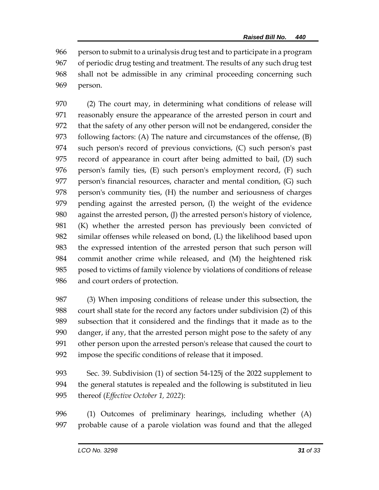person to submit to a urinalysis drug test and to participate in a program of periodic drug testing and treatment. The results of any such drug test shall not be admissible in any criminal proceeding concerning such person.

 (2) The court may, in determining what conditions of release will reasonably ensure the appearance of the arrested person in court and that the safety of any other person will not be endangered, consider the following factors: (A) The nature and circumstances of the offense, (B) such person's record of previous convictions, (C) such person's past record of appearance in court after being admitted to bail, (D) such person's family ties, (E) such person's employment record, (F) such 977 person's financial resources, character and mental condition, (G) such person's community ties, (H) the number and seriousness of charges pending against the arrested person, (I) the weight of the evidence against the arrested person, (J) the arrested person's history of violence, (K) whether the arrested person has previously been convicted of similar offenses while released on bond, (L) the likelihood based upon the expressed intention of the arrested person that such person will commit another crime while released, and (M) the heightened risk posed to victims of family violence by violations of conditions of release and court orders of protection.

 (3) When imposing conditions of release under this subsection, the court shall state for the record any factors under subdivision (2) of this subsection that it considered and the findings that it made as to the danger, if any, that the arrested person might pose to the safety of any other person upon the arrested person's release that caused the court to impose the specific conditions of release that it imposed.

 Sec. 39. Subdivision (1) of section 54-125j of the 2022 supplement to the general statutes is repealed and the following is substituted in lieu thereof (*Effective October 1, 2022*):

 (1) Outcomes of preliminary hearings, including whether (A) probable cause of a parole violation was found and that the alleged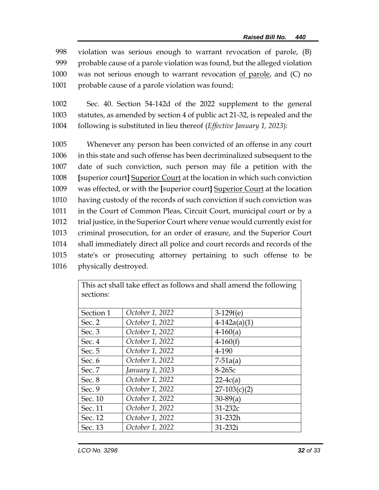violation was serious enough to warrant revocation of parole, (B) probable cause of a parole violation was found, but the alleged violation was not serious enough to warrant revocation of parole, and (C) no 1001 probable cause of a parole violation was found;

1002 Sec. 40. Section 54-142d of the 2022 supplement to the general 1003 statutes, as amended by section 4 of public act 21-32, is repealed and the 1004 following is substituted in lieu thereof (*Effective January 1, 2023*):

 Whenever any person has been convicted of an offense in any court in this state and such offense has been decriminalized subsequent to the date of such conviction, such person may file a petition with the **[**superior court**]** Superior Court at the location in which such conviction was effected, or with the **[**superior court**]** Superior Court at the location having custody of the records of such conviction if such conviction was 1011 in the Court of Common Pleas, Circuit Court, municipal court or by a trial justice, in the Superior Court where venue would currently exist for criminal prosecution, for an order of erasure, and the Superior Court shall immediately direct all police and court records and records of the state's or prosecuting attorney pertaining to such offense to be physically destroyed.

> This act shall take effect as follows and shall amend the following sections:

| October 1, 2022 | $3-129f(e)$    |
|-----------------|----------------|
| October 1, 2022 | $4-142a(a)(1)$ |
| October 1, 2022 | $4-160(a)$     |
| October 1, 2022 | $4 - 160(f)$   |
| October 1, 2022 | 4-190          |
| October 1, 2022 | $7 - 51a(a)$   |
| January 1, 2023 | $8-265c$       |
| October 1, 2022 | $22-4c(a)$     |
| October 1, 2022 | $27-103(c)(2)$ |
| October 1, 2022 | $30-89(a)$     |
| October 1, 2022 | $31-232c$      |
| October 1, 2022 | 31-232h        |
| October 1, 2022 | 31-232i        |
|                 |                |